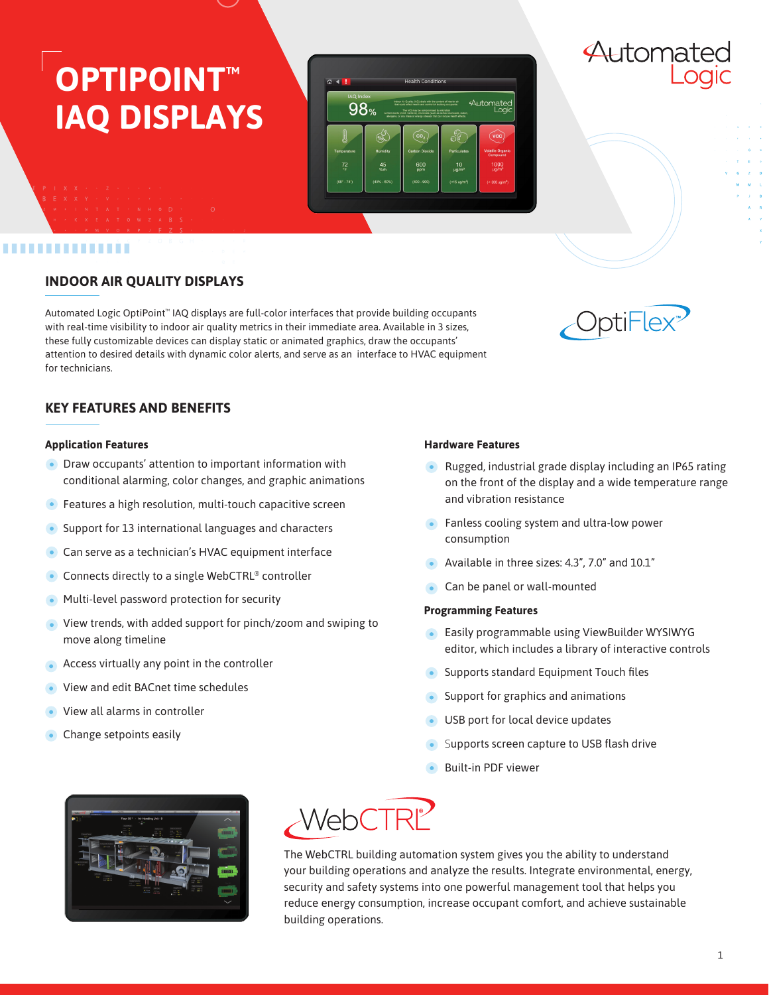# **OPTIPOINT™ IAQ DISPLAYS**



# ...........

## **INDOOR AIR QUALITY DISPLAYS**

Automated Logic OptiPoint™ IAQ displays are full-color interfaces that provide building occupants with real-time visibility to indoor air quality metrics in their immediate area. Available in 3 sizes, these fully customizable devices can display static or animated graphics, draw the occupants' attention to desired details with dynamic color alerts, and serve as an interface to HVAC equipment for technicians.



Automated

## **KEY FEATURES AND BENEFITS**

#### **Application Features**

- **•** Draw occupants' attention to important information with conditional alarming, color changes, and graphic animations
- **•** Features a high resolution, multi-touch capacitive screen
- Support for 13 international languages and characters
- **Can serve as a technician's HVAC equipment interface**
- Connects directly to a single WebCTRL® controller
- Multi-level password protection for security
- View trends, with added support for pinch/zoom and swiping to move along timeline
- Access virtually any point in the controller
- View and edit BACnet time schedules
- View all alarms in controller
- Change setpoints easily

#### **Hardware Features**

- Rugged, industrial grade display including an IP65 rating on the front of the display and a wide temperature range and vibration resistance
- **•** Fanless cooling system and ultra-low power consumption
- Available in three sizes: 4.3", 7.0" and 10.1"
- Can be panel or wall-mounted

#### **Programming Features**

- Easily programmable using ViewBuilder WYSIWYG editor, which includes a library of interactive controls
- Supports standard Equipment Touch files
- Support for graphics and animations
- USB port for local device updates
- Supports screen capture to USB flash drive
- Built-in PDF viewer





The WebCTRL building automation system gives you the ability to understand your building operations and analyze the results. Integrate environmental, energy, security and safety systems into one powerful management tool that helps you reduce energy consumption, increase occupant comfort, and achieve sustainable building operations.